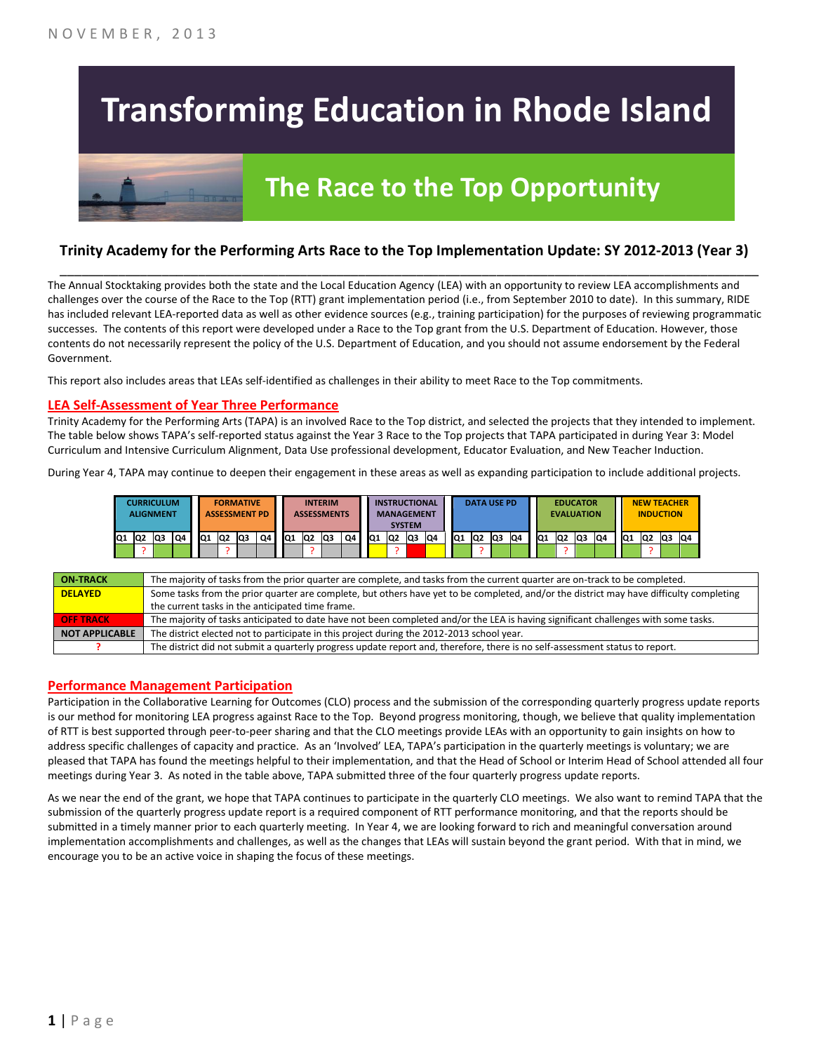# **Transforming Education in Rhode Island**

## **The Race to the Top Opportunity**

### **Trinity Academy for the Performing Arts Race to the Top Implementation Update: SY 2012-2013 (Year 3)** \_\_\_\_\_\_\_\_\_\_\_\_\_\_\_\_\_\_\_\_\_\_\_\_\_\_\_\_\_\_\_\_\_\_\_\_\_\_\_\_\_\_\_\_\_\_\_\_\_\_\_\_\_\_\_\_\_\_\_\_\_\_\_\_\_\_\_\_\_\_\_\_\_\_\_\_\_\_\_\_\_\_\_\_\_\_\_\_\_\_\_\_\_\_\_\_

The Annual Stocktaking provides both the state and the Local Education Agency (LEA) with an opportunity to review LEA accomplishments and challenges over the course of the Race to the Top (RTT) grant implementation period (i.e., from September 2010 to date). In this summary, RIDE has included relevant LEA-reported data as well as other evidence sources (e.g., training participation) for the purposes of reviewing programmatic successes. The contents of this report were developed under a Race to the Top grant from the U.S. Department of Education. However, those contents do not necessarily represent the policy of the U.S. Department of Education, and you should not assume endorsement by the Federal Government.

This report also includes areas that LEAs self-identified as challenges in their ability to meet Race to the Top commitments.

#### **LEA Self-Assessment of Year Three Performance**

Trinity Academy for the Performing Arts (TAPA) is an involved Race to the Top district, and selected the projects that they intended to implement. The table below shows TAPA's self-reported status against the Year 3 Race to the Top projects that TAPA participated in during Year 3: Model Curriculum and Intensive Curriculum Alignment, Data Use professional development, Educator Evaluation, and New Teacher Induction.

During Year 4, TAPA may continue to deepen their engagement in these areas as well as expanding participation to include additional projects.

| <b>CURRICULUM</b><br><b>ALIGNMENT</b> |                |     |  | <b>FORMATIVE</b><br><b>ASSESSMENT PD</b> |    |                |    | <b>INTERIM</b><br><b>ASSESSMENTS</b> |     |                | <b>INSTRUCTIONAL</b><br><b>MANAGEMENT</b><br><b>SYSTEM</b> |    |     | <b>DATA USE PD</b> |     |    |    | <b>EDUCATOR</b><br><b>EVALUATION</b> |           |     |                 | <b>NEW TEACHER</b><br><b>INDUCTION</b> |    |    |                 |    |  |    |    |
|---------------------------------------|----------------|-----|--|------------------------------------------|----|----------------|----|--------------------------------------|-----|----------------|------------------------------------------------------------|----|-----|--------------------|-----|----|----|--------------------------------------|-----------|-----|-----------------|----------------------------------------|----|----|-----------------|----|--|----|----|
| IQ1                                   | Q <sub>2</sub> | lQ3 |  | Q4                                       | Q1 | Q <sub>2</sub> | Q3 | Q4 L                                 | IQ1 | Q <sub>2</sub> | lQ3                                                        | Q4 | IQ1 | Q2                 | lQ3 | Q4 | Q1 | Q <sub>2</sub>                       | <b>Q3</b> | IQ4 | IQ <sub>1</sub> | lQ2                                    | Q3 | Q4 | IQ <sub>1</sub> | Q2 |  | Q3 | Q4 |
|                                       |                |     |  |                                          |    |                |    |                                      |     |                |                                                            |    |     |                    |     |    |    |                                      |           |     |                 |                                        |    |    |                 |    |  |    |    |

| <b>ON TRACK</b>       | The majority of tasks from the prior quarter are complete, and tasks from the current quarter are on-track to be completed.             |
|-----------------------|-----------------------------------------------------------------------------------------------------------------------------------------|
| <b>DELAYED</b>        | Some tasks from the prior quarter are complete, but others have yet to be completed, and/or the district may have difficulty completing |
|                       | the current tasks in the anticipated time frame.                                                                                        |
| <b>OFF TRACK</b>      | The majority of tasks anticipated to date have not been completed and/or the LEA is having significant challenges with some tasks.      |
| <b>NOT APPLICABLE</b> | The district elected not to participate in this project during the 2012-2013 school year.                                               |
|                       | The district did not submit a quarterly progress update report and, therefore, there is no self-assessment status to report.            |

#### **Performance Management Participation**

Participation in the Collaborative Learning for Outcomes (CLO) process and the submission of the corresponding quarterly progress update reports is our method for monitoring LEA progress against Race to the Top. Beyond progress monitoring, though, we believe that quality implementation of RTT is best supported through peer-to-peer sharing and that the CLO meetings provide LEAs with an opportunity to gain insights on how to address specific challenges of capacity and practice. As an 'Involved' LEA, TAPA's participation in the quarterly meetings is voluntary; we are pleased that TAPA has found the meetings helpful to their implementation, and that the Head of School or Interim Head of School attended all four meetings during Year 3. As noted in the table above, TAPA submitted three of the four quarterly progress update reports.

As we near the end of the grant, we hope that TAPA continues to participate in the quarterly CLO meetings. We also want to remind TAPA that the submission of the quarterly progress update report is a required component of RTT performance monitoring, and that the reports should be submitted in a timely manner prior to each quarterly meeting. In Year 4, we are looking forward to rich and meaningful conversation around implementation accomplishments and challenges, as well as the changes that LEAs will sustain beyond the grant period. With that in mind, we encourage you to be an active voice in shaping the focus of these meetings.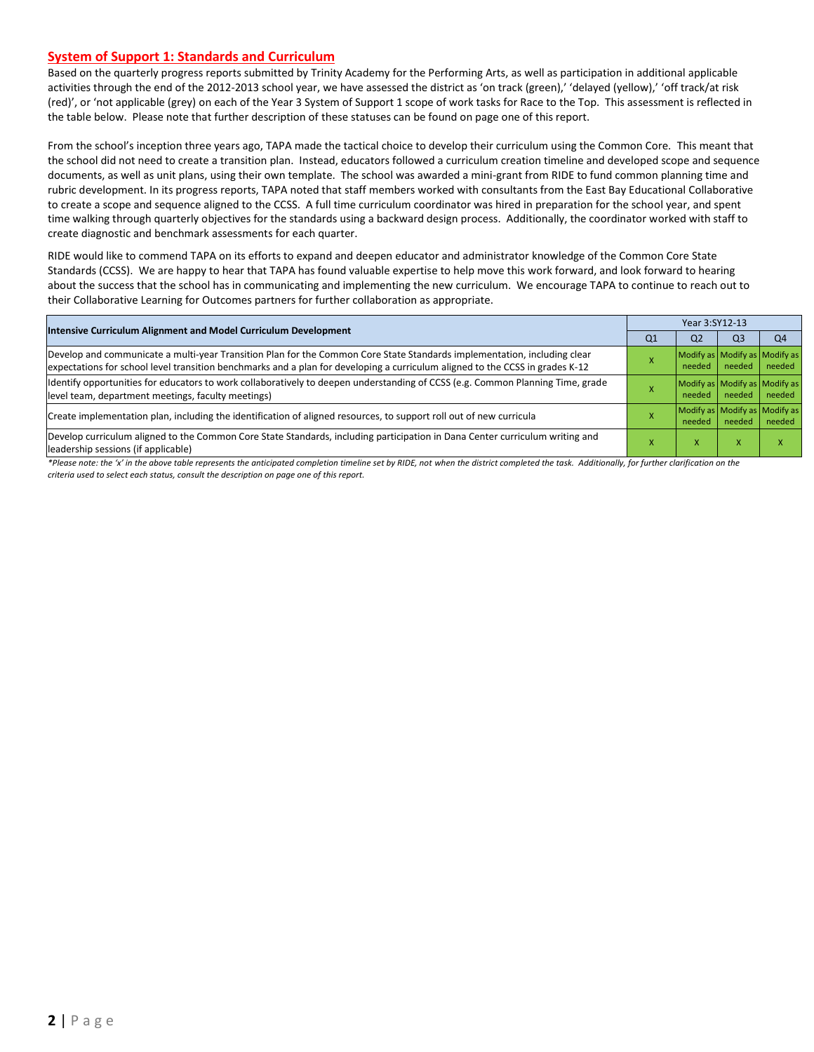#### **System of Support 1: Standards and Curriculum**

Based on the quarterly progress reports submitted by Trinity Academy for the Performing Arts, as well as participation in additional applicable activities through the end of the 2012-2013 school year, we have assessed the district as 'on track (green),' 'delayed (yellow),' 'off track/at risk (red)', or 'not applicable (grey) on each of the Year 3 System of Support 1 scope of work tasks for Race to the Top. This assessment is reflected in the table below. Please note that further description of these statuses can be found on page one of this report.

From the school's inception three years ago, TAPA made the tactical choice to develop their curriculum using the Common Core. This meant that the school did not need to create a transition plan. Instead, educators followed a curriculum creation timeline and developed scope and sequence documents, as well as unit plans, using their own template. The school was awarded a mini-grant from RIDE to fund common planning time and rubric development. In its progress reports, TAPA noted that staff members worked with consultants from the East Bay Educational Collaborative to create a scope and sequence aligned to the CCSS. A full time curriculum coordinator was hired in preparation for the school year, and spent time walking through quarterly objectives for the standards using a backward design process. Additionally, the coordinator worked with staff to create diagnostic and benchmark assessments for each quarter.

RIDE would like to commend TAPA on its efforts to expand and deepen educator and administrator knowledge of the Common Core State Standards (CCSS). We are happy to hear that TAPA has found valuable expertise to help move this work forward, and look forward to hearing about the success that the school has in communicating and implementing the new curriculum. We encourage TAPA to continue to reach out to their Collaborative Learning for Outcomes partners for further collaboration as appropriate.

| Intensive Curriculum Alignment and Model Curriculum Development                                                                                                                                                                                           |    | Year 3:SY12-13 |                |                                         |  |  |  |  |
|-----------------------------------------------------------------------------------------------------------------------------------------------------------------------------------------------------------------------------------------------------------|----|----------------|----------------|-----------------------------------------|--|--|--|--|
|                                                                                                                                                                                                                                                           | Q1 | Q <sub>2</sub> | Q <sub>3</sub> | O <sub>4</sub>                          |  |  |  |  |
| Develop and communicate a multi-year Transition Plan for the Common Core State Standards implementation, including clear<br>expectations for school level transition benchmarks and a plan for developing a curriculum aligned to the CCSS in grades K-12 |    | needed         | needed         | Modify as Modify as Modify as<br>needed |  |  |  |  |
| Identify opportunities for educators to work collaboratively to deepen understanding of CCSS (e.g. Common Planning Time, grade<br>level team, department meetings, faculty meetings)                                                                      |    | needed         | needed         | Modify as Modify as Modify as<br>needed |  |  |  |  |
| Create implementation plan, including the identification of aligned resources, to support roll out of new curricula                                                                                                                                       |    | needed         | needed         | Modify as Modify as Modify as<br>needed |  |  |  |  |
| Develop curriculum aligned to the Common Core State Standards, including participation in Dana Center curriculum writing and<br>leadership sessions (if applicable)                                                                                       |    | л              | X              |                                         |  |  |  |  |

\*Please note: the 'x' in the above table represents the anticipated completion timeline set by RIDE, not when the district completed the task. Additionally, for further clarification on the *criteria used to select each status, consult the description on page one of this report.*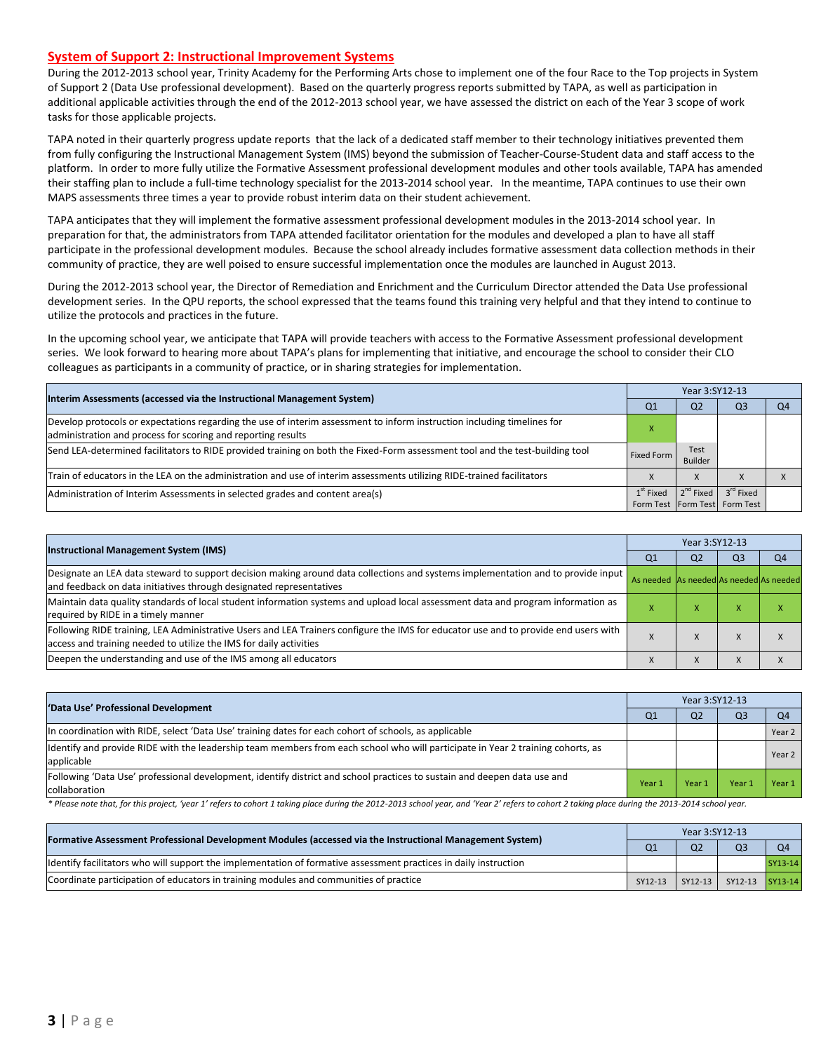#### **System of Support 2: Instructional Improvement Systems**

During the 2012-2013 school year, Trinity Academy for the Performing Arts chose to implement one of the four Race to the Top projects in System of Support 2 (Data Use professional development). Based on the quarterly progress reports submitted by TAPA, as well as participation in additional applicable activities through the end of the 2012-2013 school year, we have assessed the district on each of the Year 3 scope of work tasks for those applicable projects.

TAPA noted in their quarterly progress update reports that the lack of a dedicated staff member to their technology initiatives prevented them from fully configuring the Instructional Management System (IMS) beyond the submission of Teacher-Course-Student data and staff access to the platform. In order to more fully utilize the Formative Assessment professional development modules and other tools available, TAPA has amended their staffing plan to include a full-time technology specialist for the 2013-2014 school year. In the meantime, TAPA continues to use their own MAPS assessments three times a year to provide robust interim data on their student achievement.

TAPA anticipates that they will implement the formative assessment professional development modules in the 2013-2014 school year. In preparation for that, the administrators from TAPA attended facilitator orientation for the modules and developed a plan to have all staff participate in the professional development modules. Because the school already includes formative assessment data collection methods in their community of practice, they are well poised to ensure successful implementation once the modules are launched in August 2013.

During the 2012-2013 school year, the Director of Remediation and Enrichment and the Curriculum Director attended the Data Use professional development series. In the QPU reports, the school expressed that the teams found this training very helpful and that they intend to continue to utilize the protocols and practices in the future.

In the upcoming school year, we anticipate that TAPA will provide teachers with access to the Formative Assessment professional development series. We look forward to hearing more about TAPA's plans for implementing that initiative, and encourage the school to consider their CLO colleagues as participants in a community of practice, or in sharing strategies for implementation.

| Interim Assessments (accessed via the Instructional Management System)                                                                                                                  |             | Year 3:SY12-13  |                                                              |  |  |  |
|-----------------------------------------------------------------------------------------------------------------------------------------------------------------------------------------|-------------|-----------------|--------------------------------------------------------------|--|--|--|
|                                                                                                                                                                                         | Q1          | Q <sub>2</sub>  | Q3                                                           |  |  |  |
| Develop protocols or expectations regarding the use of interim assessment to inform instruction including timelines for<br>administration and process for scoring and reporting results |             |                 |                                                              |  |  |  |
| Send LEA-determined facilitators to RIDE provided training on both the Fixed-Form assessment tool and the test-building tool                                                            | Fixed Form  | Test<br>Builder |                                                              |  |  |  |
| Train of educators in the LEA on the administration and use of interim assessments utilizing RIDE-trained facilitators                                                                  |             | $\lambda$       |                                                              |  |  |  |
| Administration of Interim Assessments in selected grades and content area(s)                                                                                                            | $1st$ Fixed |                 | $2nd$ Fixed $3rd$ Fixed<br>Form Test   Form Test   Form Test |  |  |  |

| <b>Instructional Management System (IMS)</b>                                                                                                                                                              |                                         | Year 3:SY12-13 |                |                |  |  |
|-----------------------------------------------------------------------------------------------------------------------------------------------------------------------------------------------------------|-----------------------------------------|----------------|----------------|----------------|--|--|
|                                                                                                                                                                                                           | Q <sub>1</sub>                          | Q <sub>2</sub> | Q <sub>3</sub> | O <sub>4</sub> |  |  |
| Designate an LEA data steward to support decision making around data collections and systems implementation and to provide input<br>and feedback on data initiatives through designated representatives   | As needed As needed As needed As needed |                |                |                |  |  |
| Maintain data quality standards of local student information systems and upload local assessment data and program information as<br>required by RIDE in a timely manner                                   |                                         | $\lambda$      | ⋏              |                |  |  |
| Following RIDE training, LEA Administrative Users and LEA Trainers configure the IMS for educator use and to provide end users with<br>access and training needed to utilize the IMS for daily activities |                                         |                | $\lambda$      |                |  |  |
| Deepen the understanding and use of the IMS among all educators                                                                                                                                           | $\lambda$                               | X              | $\lambda$      |                |  |  |

| 'Data Use' Professional Development                                                                                                           |        | Year 3:SY12-13 |       |                |  |  |  |
|-----------------------------------------------------------------------------------------------------------------------------------------------|--------|----------------|-------|----------------|--|--|--|
|                                                                                                                                               | Q1     | Q <sub>2</sub> | $Q_3$ | O <sub>4</sub> |  |  |  |
| In coordination with RIDE, select 'Data Use' training dates for each cohort of schools, as applicable                                         |        |                |       | Year 2         |  |  |  |
| ldentify and provide RIDE with the leadership team members from each school who will participate in Year 2 training cohorts, as<br>applicable |        |                |       | Year $2$       |  |  |  |
| Following 'Data Use' professional development, identify district and school practices to sustain and deepen data use and<br>collaboration     | Year 1 | Year 1         | Year  | Year 1         |  |  |  |

\* Please note that, for this project, 'year 1' refers to cohort 1 taking place during the 2012-2013 school year, and 'Year 2' refers to cohort 2 taking place during the 2013-2014 school year.

| [Formative Assessment Professional Development Modules (accessed via the Instructional Management System)        |         | Year 3:SY12-13 |                 |                |  |  |  |  |
|------------------------------------------------------------------------------------------------------------------|---------|----------------|-----------------|----------------|--|--|--|--|
|                                                                                                                  | Q1      | Q <sub>2</sub> | Q <sub>3</sub>  | O <sub>4</sub> |  |  |  |  |
| ldentify facilitators who will support the implementation of formative assessment practices in daily instruction |         |                |                 | SY13-14        |  |  |  |  |
| Coordinate participation of educators in training modules and communities of practice                            | SY12-13 | SY12-13        | SY12-13 SY13-14 |                |  |  |  |  |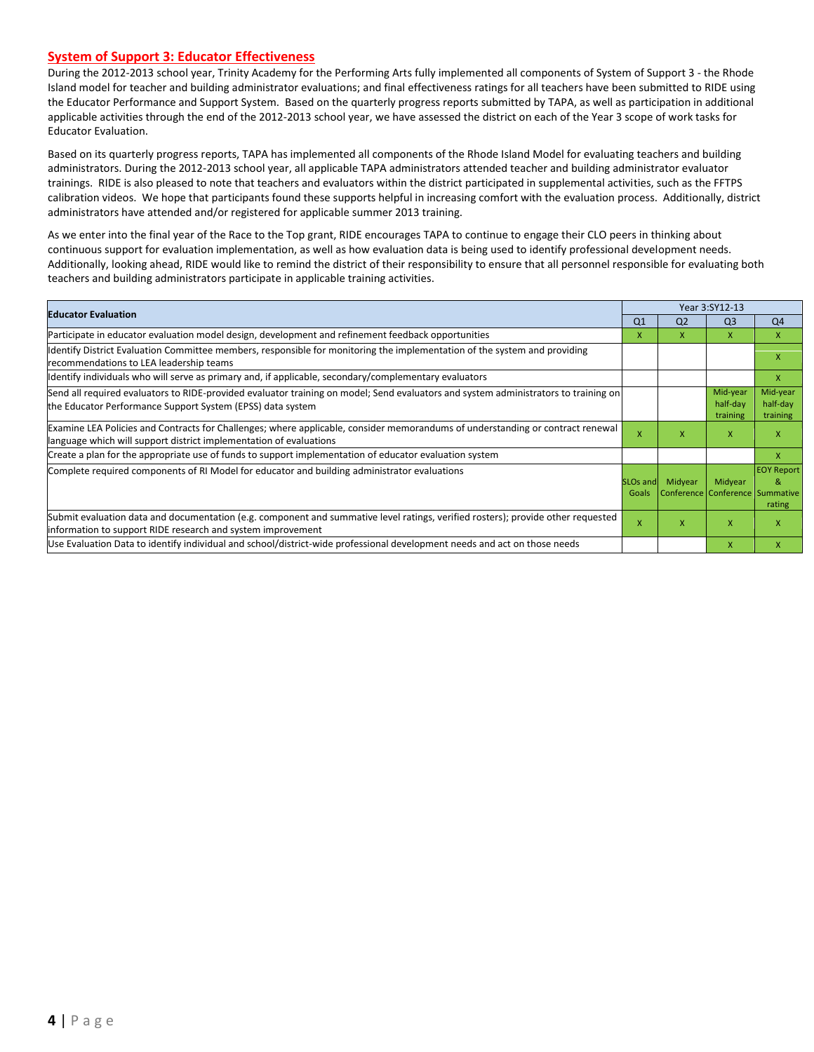#### **System of Support 3: Educator Effectiveness**

During the 2012-2013 school year, Trinity Academy for the Performing Arts fully implemented all components of System of Support 3 - the Rhode Island model for teacher and building administrator evaluations; and final effectiveness ratings for all teachers have been submitted to RIDE using the Educator Performance and Support System. Based on the quarterly progress reports submitted by TAPA, as well as participation in additional applicable activities through the end of the 2012-2013 school year, we have assessed the district on each of the Year 3 scope of work tasks for Educator Evaluation.

Based on its quarterly progress reports, TAPA has implemented all components of the Rhode Island Model for evaluating teachers and building administrators. During the 2012-2013 school year, all applicable TAPA administrators attended teacher and building administrator evaluator trainings. RIDE is also pleased to note that teachers and evaluators within the district participated in supplemental activities, such as the FFTPS calibration videos. We hope that participants found these supports helpful in increasing comfort with the evaluation process. Additionally, district administrators have attended and/or registered for applicable summer 2013 training.

As we enter into the final year of the Race to the Top grant, RIDE encourages TAPA to continue to engage their CLO peers in thinking about continuous support for evaluation implementation, as well as how evaluation data is being used to identify professional development needs. Additionally, looking ahead, RIDE would like to remind the district of their responsibility to ensure that all personnel responsible for evaluating both teachers and building administrators participate in applicable training activities.

| <b>Educator Evaluation</b>                                                                                                                                                                           |                          |                | Year 3:SY12-13                             |                                  |
|------------------------------------------------------------------------------------------------------------------------------------------------------------------------------------------------------|--------------------------|----------------|--------------------------------------------|----------------------------------|
|                                                                                                                                                                                                      | Q <sub>1</sub>           | Q <sub>2</sub> | Q <sub>3</sub>                             | Q <sub>4</sub>                   |
| Participate in educator evaluation model design, development and refinement feedback opportunities                                                                                                   | x                        | x              | X                                          | X                                |
| Identify District Evaluation Committee members, responsible for monitoring the implementation of the system and providing<br>recommendations to LEA leadership teams                                 |                          |                |                                            | X                                |
| ldentify individuals who will serve as primary and, if applicable, secondary/complementary evaluators                                                                                                |                          |                |                                            | X                                |
| Send all required evaluators to RIDE-provided evaluator training on model; Send evaluators and system administrators to training on<br>the Educator Performance Support System (EPSS) data system    |                          |                | Mid-year<br>half-day<br>training           | Mid-year<br>half-day<br>training |
| Examine LEA Policies and Contracts for Challenges; where applicable, consider memorandums of understanding or contract renewal<br>language which will support district implementation of evaluations | X                        | X              | X                                          | X                                |
| Create a plan for the appropriate use of funds to support implementation of educator evaluation system                                                                                               |                          |                |                                            | X                                |
| Complete required components of RI Model for educator and building administrator evaluations                                                                                                         | <b>SLOs and</b><br>Goals | Midyear        | Midyear<br>Conference Conference Summative | <b>EOY Report</b><br>&<br>rating |
| Submit evaluation data and documentation (e.g. component and summative level ratings, verified rosters); provide other requested<br>information to support RIDE research and system improvement      | X                        | x              | X                                          | X                                |
| Use Evaluation Data to identify individual and school/district-wide professional development needs and act on those needs                                                                            |                          |                | $\mathsf{x}$                               | X                                |